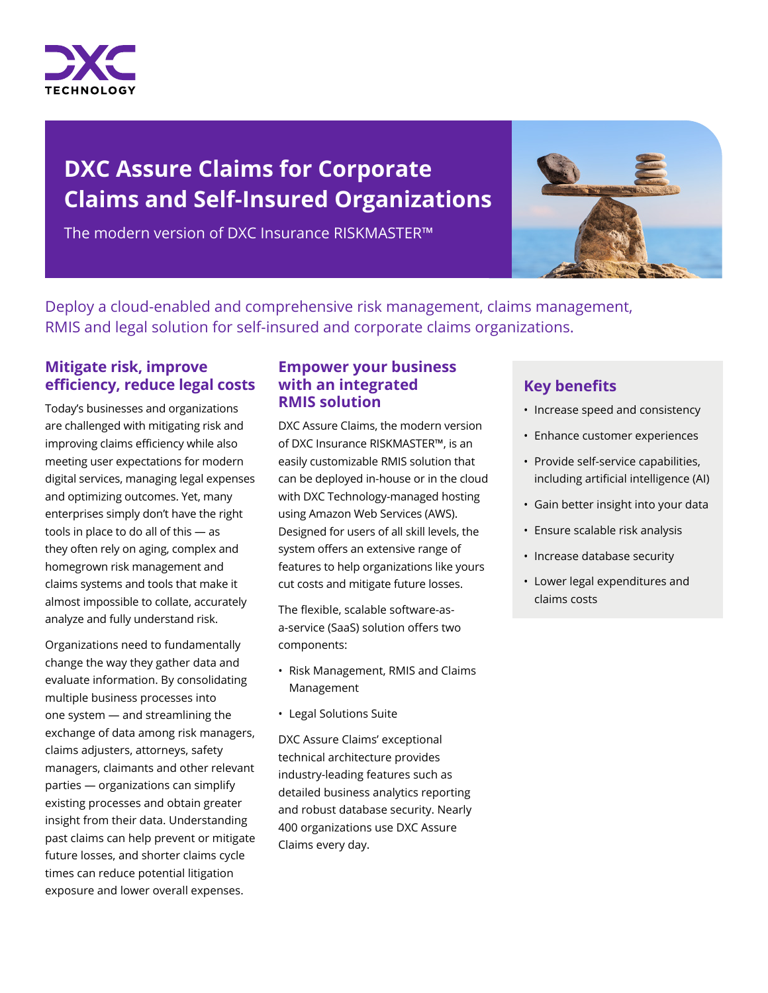

# **DXC Assure Claims for Corporate Claims and Self-Insured Organizations**

The modern version of DXC Insurance RISKMASTER™



Deploy a cloud-enabled and comprehensive risk management, claims management, RMIS and legal solution for self-insured and corporate claims organizations.

# **Mitigate risk, improve efficiency, reduce legal costs**

Today's businesses and organizations are challenged with mitigating risk and improving claims efficiency while also meeting user expectations for modern digital services, managing legal expenses and optimizing outcomes. Yet, many enterprises simply don't have the right tools in place to do all of this — as they often rely on aging, complex and homegrown risk management and claims systems and tools that make it almost impossible to collate, accurately analyze and fully understand risk.

Organizations need to fundamentally change the way they gather data and evaluate information. By consolidating multiple business processes into one system — and streamlining the exchange of data among risk managers, claims adjusters, attorneys, safety managers, claimants and other relevant parties — organizations can simplify existing processes and obtain greater insight from their data. Understanding past claims can help prevent or mitigate future losses, and shorter claims cycle times can reduce potential litigation exposure and lower overall expenses.

# **Empower your business with an integrated RMIS solution**

DXC Assure Claims, the modern version of DXC Insurance RISKMASTER™, is an easily customizable RMIS solution that can be deployed in-house or in the cloud with DXC Technology-managed hosting using Amazon Web Services (AWS). Designed for users of all skill levels, the system offers an extensive range of features to help organizations like yours cut costs and mitigate future losses.

The flexible, scalable software-asa-service (SaaS) solution offers two components:

- Risk Management, RMIS and Claims Management
- Legal Solutions Suite

DXC Assure Claims' exceptional technical architecture provides industry-leading features such as detailed business analytics reporting and robust database security. Nearly 400 organizations use DXC Assure Claims every day.

# **Key benefits**

- Increase speed and consistency
- Enhance customer experiences
- Provide self-service capabilities, including artificial intelligence (AI)
- Gain better insight into your data
- Ensure scalable risk analysis
- Increase database security
- Lower legal expenditures and claims costs